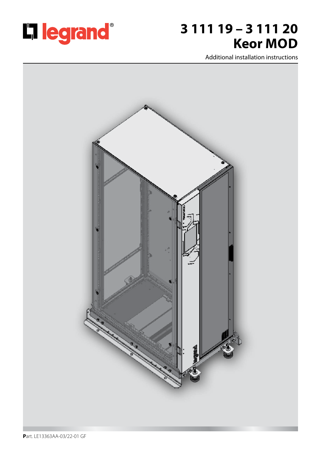

## 3 111 19 - 3 111 20 **Keor MOD**

Additional installation instructions

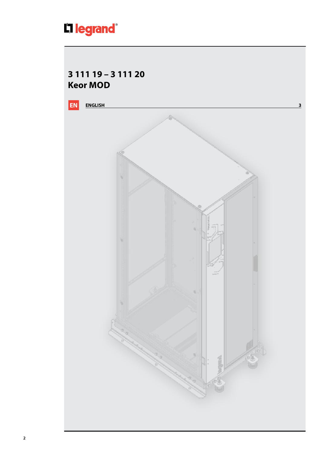# L'i legrand<sup>®</sup>

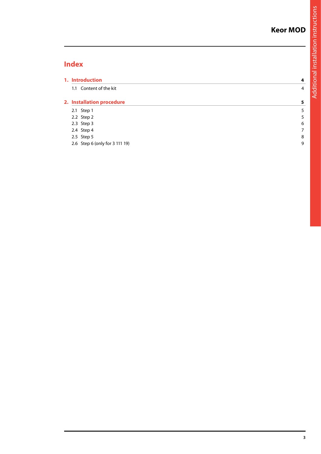### **Index**

- **1. Introduction 4**
	- 1.1 Content of the kit 4

#### **2. Installation procedure 5**

- 2.1 Step 1  $\sim$  5  $\sim$  5  $\sim$  5  $\sim$  5  $\sim$  5  $\sim$  5  $\sim$  5  $\sim$  5  $\sim$  5  $\sim$  5  $\sim$  5  $\sim$  5  $\sim$  5  $\sim$  5  $\sim$  5  $\sim$  5  $\sim$  5  $\sim$  5  $\sim$  5  $\sim$  5  $\sim$  5  $\sim$  5  $\sim$  5  $\sim$  5  $\sim$  5  $\sim$  5  $\sim$  5  $\sim$  5  $\sim$  5  $\sim$  5
- 2.2 Step 2  $\hskip 1.5cm 5$
- 2.3 Step 3 6
- 2.4 Step 4 7
- 2.5 Step 5 8
- 2.6 Step 6 (only for 3 111 19) 9
-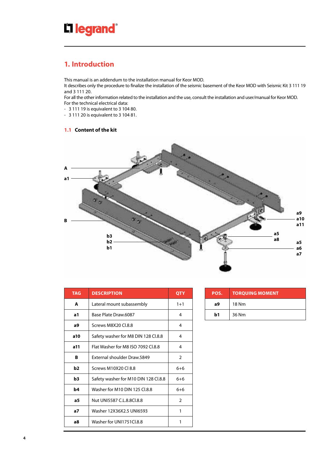## L'I legrand®

### **1. Introduction**

This manual is an addendum to the installation manual for Keor MOD.

It describes only the procedure to finalize the installation of the seismic basement of the Keor MOD with Seismic Kit 3 111 19 and 3 111 20.

For all the other information related to the installation and the use, consult the installation and user/manual for Keor MOD. For the technical electrical data:

- 3 111 19 is equivalent to 3 104 80.
- 3 111 20 is equivalent to 3 104 81.

#### **1.1 Content of the kit**



| <b>TAG</b>     | <b>DESCRIPTION</b>                   | <b>QTY</b>    |
|----------------|--------------------------------------|---------------|
| A              | Lateral mount subassembly            | $1 + 1$       |
| a1             | Base Plate Draw 6087                 | 4             |
| а9             | Screws M8X20 CL8.8                   | 4             |
| a10            | Safety washer for M8 DIN 128 Cl.8.8  | 4             |
| a11            | Flat Washer for M8 ISO 7092 CL8.8    | 4             |
| R              | External shoulder Draw 5849          | $\mathcal{P}$ |
| b <sub>2</sub> | Screws M10X20 Cl 8.8                 | $6 + 6$       |
| b3             | Safety washer for M10 DIN 128 Cl.8.8 | $6+6$         |
| b4             | Washer for M10 DIN 125 CL8.8         | $6 + 6$       |
| а5             | Nut UNI5587 C.L.8.8Cl.8.8            | 2             |
| a7             | Washer 12X36X2.5 UNI6593             | 1             |
| a8             | Washer for UNI1751CL8.8              | 1             |

| POS. | <b>TORQUING MOMENT</b> |
|------|------------------------|
| a9   | 18 Nm                  |
| b1   | 36 Nm                  |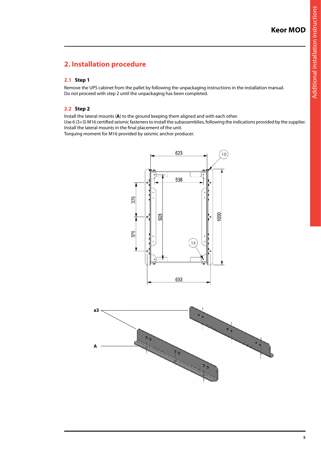#### **2.1 Step 1**

Remove the UPS cabinet from the pallet by following the unpackaging instructions in the installation manual. Do not proceed with step 2 until the unpackaging has been completed.

#### **2.2 Step 2**

Install the lateral mounts (**A**) to the ground keeping them aligned and with each other. Use 6 (3+3) M16 certified seismic fasteners to install the subassemblies, following the indications provided by the supplier. Install the lateral mounts in the final placement of the unit.

Torquing moment for M16 provided by seismic anchor producer.



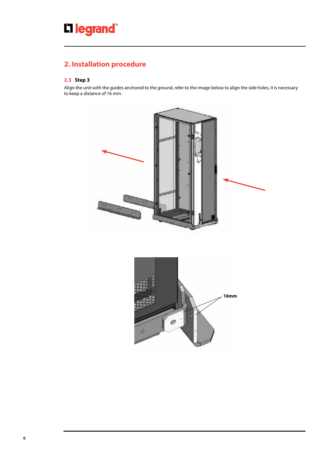

#### **2.3 Step 3**

Align the unit with the guides anchored to the ground, refer to the image below to align the side holes, it is necessary to keep a distance of 16 mm.



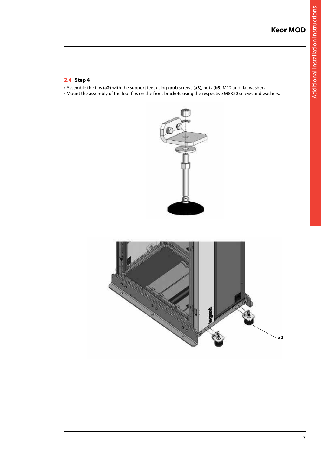#### **2.4 Step 4**

- Assemble the fins (**a2**) with the support feet using grub screws (**a3**), nuts (**b3**) M12 and flat washers.
- Mount the assembly of the four fins on the front brackets using the respective M8X20 screws and washers.



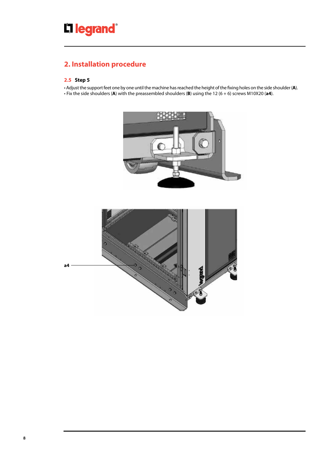

#### **2.5 Step 5**

• Adjust the support feet one by one until the machine has reached the height of the fixing holes on the side shoulder (**A**). • Fix the side shoulders (**A**) with the preassembled shoulders (**B**) using the 12 (6 + 6) screws M10X20 (**a4**).

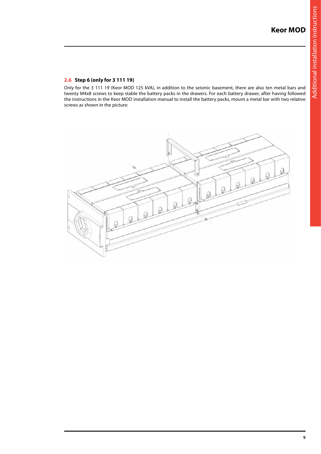#### **2.6 Step 6 (only for 3 111 19)**

Only for the 3 111 19 (Keor MOD 125 kVA), in addition to the seismic basement, there are also ten metal bars and twenty M4x8 screws to keep stable the battery packs in the drawers. For each battery drawer, after having followed the instructions in the Keor MOD installation manual to install the battery packs, mount a metal bar with two relative screws as shown in the picture:

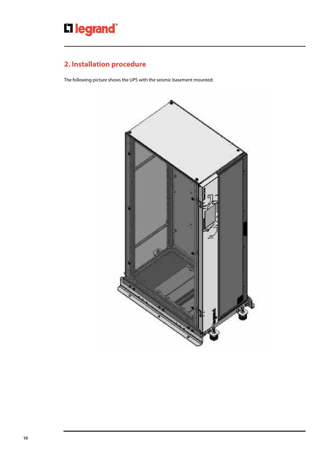

The following picture shows the UPS with the seismic basement mounted:

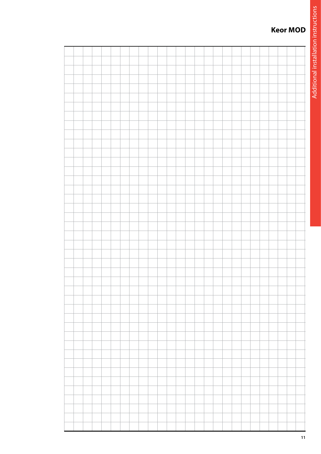## **Keor MOD**